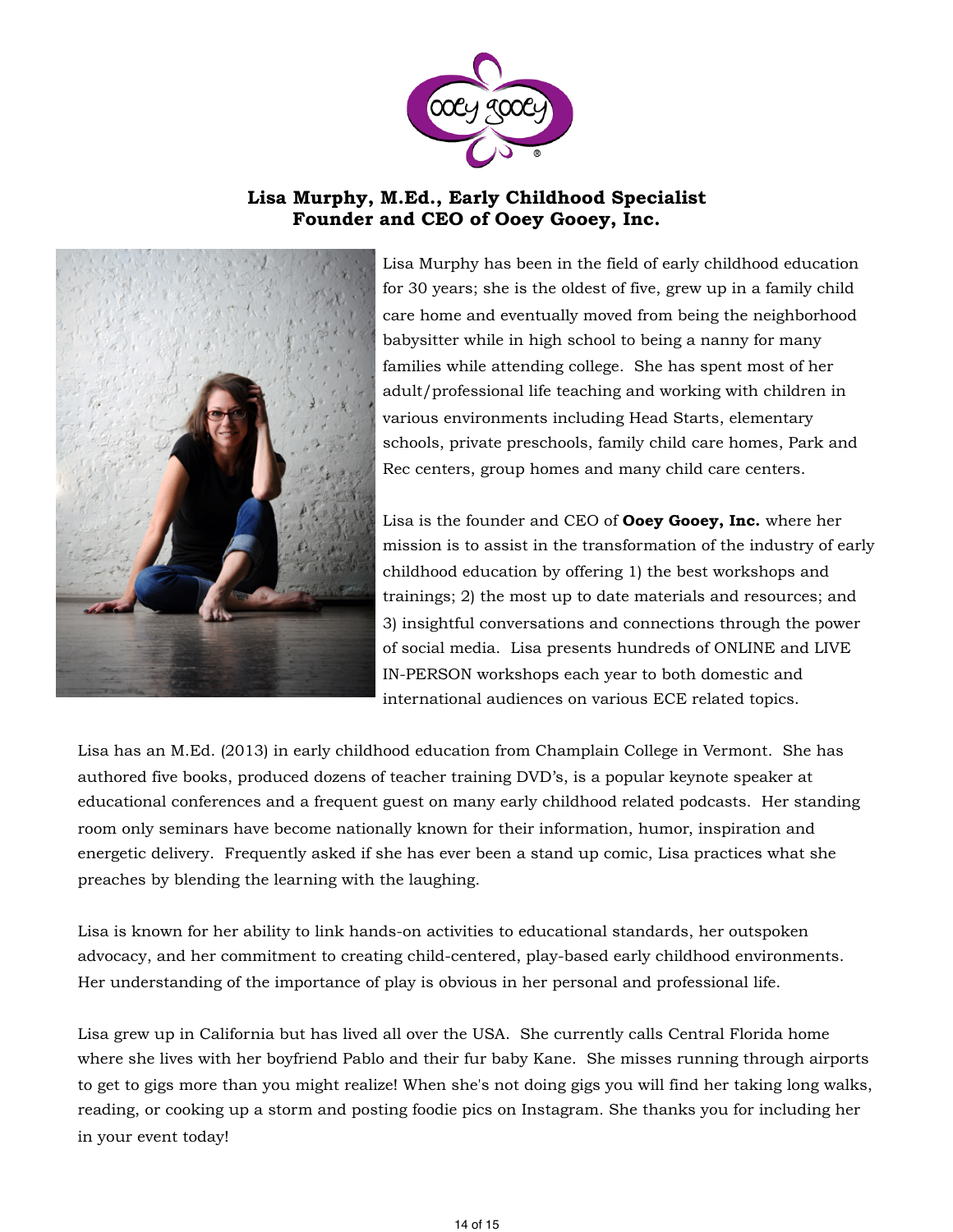

## **Lisa Murphy, M.Ed., Early Childhood Specialist Founder and CEO of Ooey Gooey, Inc.**



Lisa Murphy has been in the field of early childhood education for 30 years; she is the oldest of five, grew up in a family child care home and eventually moved from being the neighborhood babysitter while in high school to being a nanny for many families while attending college. She has spent most of her adult/professional life teaching and working with children in various environments including Head Starts, elementary schools, private preschools, family child care homes, Park and Rec centers, group homes and many child care centers.

Lisa is the founder and CEO of **Ooey Gooey, Inc.** where her mission is to assist in the transformation of the industry of early childhood education by offering 1) the best workshops and trainings; 2) the most up to date materials and resources; and 3) insightful conversations and connections through the power of social media. Lisa presents hundreds of ONLINE and LIVE IN-PERSON workshops each year to both domestic and international audiences on various ECE related topics.

Lisa has an M.Ed. (2013) in early childhood education from Champlain College in Vermont. She has authored five books, produced dozens of teacher training DVD's, is a popular keynote speaker at educational conferences and a frequent guest on many early childhood related podcasts. Her standing room only seminars have become nationally known for their information, humor, inspiration and energetic delivery. Frequently asked if she has ever been a stand up comic, Lisa practices what she preaches by blending the learning with the laughing.

Lisa is known for her ability to link hands-on activities to educational standards, her outspoken advocacy, and her commitment to creating child-centered, play-based early childhood environments. Her understanding of the importance of play is obvious in her personal and professional life.

Lisa grew up in California but has lived all over the USA. She currently calls Central Florida home where she lives with her boyfriend Pablo and their fur baby Kane. She misses running through airports to get to gigs more than you might realize! When she's not doing gigs you will find her taking long walks, reading, or cooking up a storm and posting foodie pics on Instagram. She thanks you for including her in your event today!